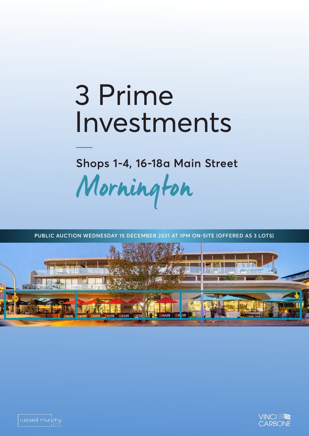## 3 Prime Investments

**Shops 1-4, 16-18a Main Street**

Mornington



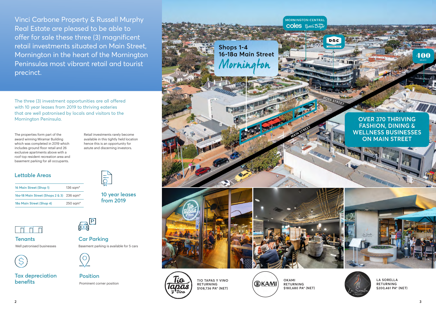Vinci Carbone Property & Russell Murphy Real Estate are pleased to be able to offer for sale these three (3) magnificent retail investments situated on Main Street, Mornington in the heart of the Mornington Peninsulas most vibrant retail and tourist precinct.

The properties form part of the award winning Miramar Building which was completed in 2019 which includes ground floor retail and 26 exclusive apartments above with a roof top resident recreation area and basement parking for all occupants.

Retail investments rarely become available in this tightly held location hence this is an opportunity for astute and discerning investors.

The three (3) investment opportunities are all offered with 10 year leases from 2019 to thriving eateries that are well patronised by locals and visitors to the Mornington Peninsula.

> **TIO TAPAS Y VINO RETURNING \$108,736 PA\* (NET)**

©KAMI

**OKAMI RETURNING \$180,680 PA\* (NET)**

**LA SORELLA RETURNING \$200,461 PA\* (NET)**

## **Lettable Areas**

**Car Parking** Basement parking is available for 5 cars



| 16 Main Street (Shop 1)                   | $136$ sam $*$          |
|-------------------------------------------|------------------------|
| 16a-18 Main Street (Shops 2 & 3) 236 sqm* |                        |
| 18a Main Street (Shop 4)                  | $250$ sqm <sup>*</sup> |



**Position** Prominent corner position









**Tax depreciation benefits**



**10 year leases from 2019**



**Tenants** Well patronised businesses